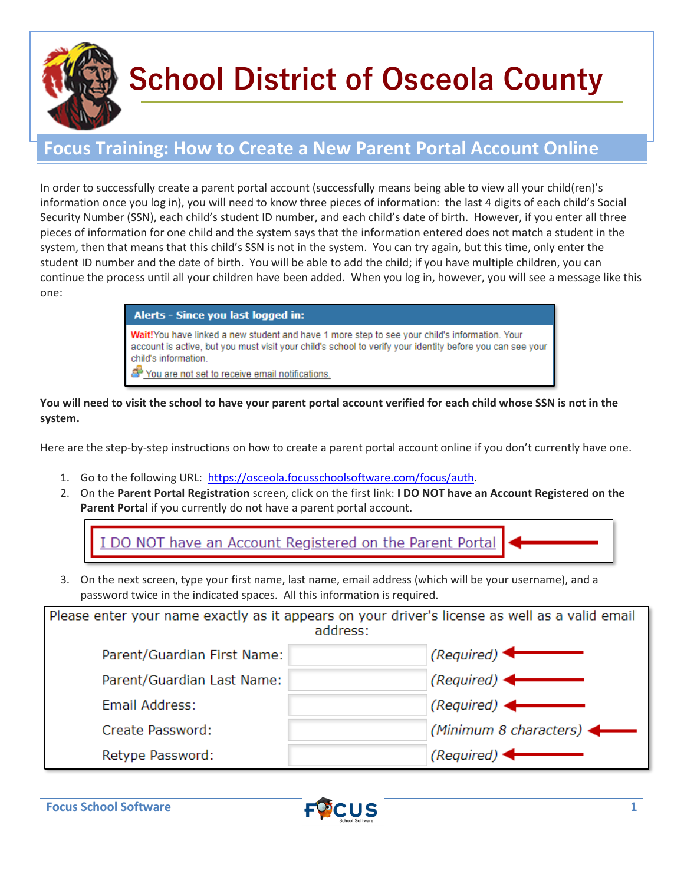

## **School District of Osceola County**

## **Focus Training: How to Create a New Parent Portal Account Online**

In order to successfully create a parent portal account (successfully means being able to view all your child(ren)'s information once you log in), you will need to know three pieces of information: the last 4 digits of each child's Social Security Number (SSN), each child's student ID number, and each child's date of birth. However, if you enter all three pieces of information for one child and the system says that the information entered does not match a student in the system, then that means that this child's SSN is not in the system. You can try again, but this time, only enter the student ID number and the date of birth. You will be able to add the child; if you have multiple children, you can continue the process until all your children have been added. When you log in, however, you will see a message like this one:

| Alerts - Since you last logged in:                                                                                                                                                                                                                                                    |
|---------------------------------------------------------------------------------------------------------------------------------------------------------------------------------------------------------------------------------------------------------------------------------------|
| Wait!You have linked a new student and have 1 more step to see your child's information. Your<br>account is active, but you must visit your child's school to verify your identity before you can see your<br>child's information.<br>You are not set to receive email notifications. |

## **You will need to visit the school to have your parent portal account verified for each child whose SSN is not in the system.**

Here are the step-by-step instructions on how to create a parent portal account online if you don't currently have one.

- 1. Go to the following URL: [https://osceola.focusschoolsoftware.com/focus/auth.](https://osceola.focusschoolsoftware.com/focus/auth)
- 2. On the **Parent Portal Registration** screen, click on the first link: **I DO NOT have an Account Registered on the Parent Portal** if you currently do not have a parent portal account.

I DO NOT have an Account Registered on the Parent Portal

3. On the next screen, type your first name, last name, email address (which will be your username), and a password twice in the indicated spaces. All this information is required.

| Please enter your name exactly as it appears on your driver's license as well as a valid email<br>address: |                                     |  |  |
|------------------------------------------------------------------------------------------------------------|-------------------------------------|--|--|
| Parent/Guardian First Name:                                                                                | (Required)                          |  |  |
| Parent/Guardian Last Name:                                                                                 | $(Required)$ $\leftarrow$           |  |  |
| Email Address:                                                                                             | (Required) $\leftarrow$             |  |  |
| Create Password:                                                                                           | (Minimum 8 characters) $\leftarrow$ |  |  |
| Retype Password:                                                                                           | (Required) $\blacktriangleleft$     |  |  |

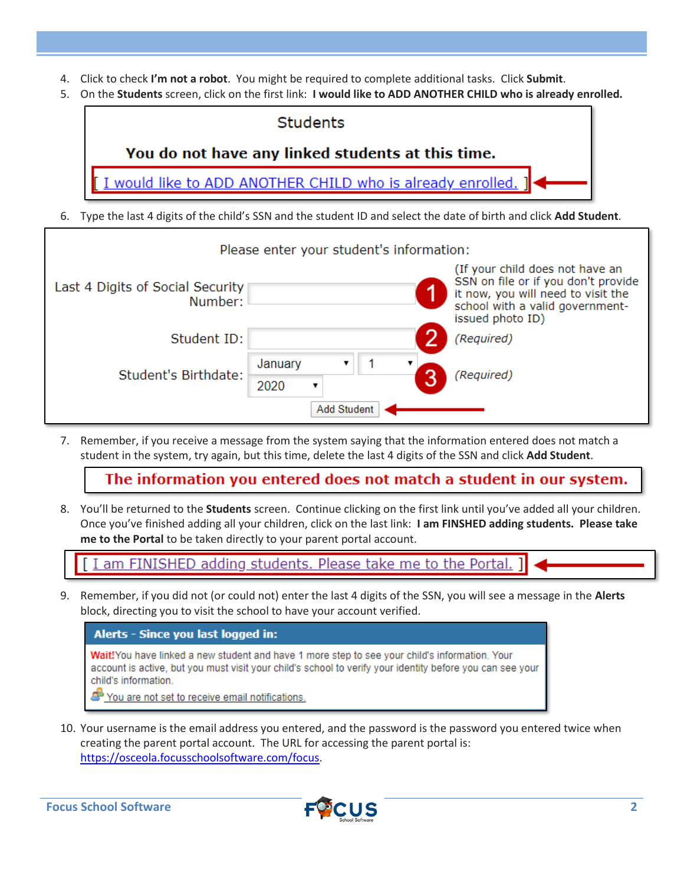- 4. Click to check **I'm not a robot**. You might be required to complete additional tasks. Click **Submit**.
- 5. On the **Students** screen, click on the first link: **I would like to ADD ANOTHER CHILD who is already enrolled.**

| <b>Students</b>                                                                                                       |
|-----------------------------------------------------------------------------------------------------------------------|
| You do not have any linked students at this time.                                                                     |
| [I would like to ADD ANOTHER CHILD who is already enrolled. ] ←                                                       |
| Tyne the last A digits of the shild's SSN and the student ID and select the date of hirth and slick <b>Add Stud</b> e |

6. Type the last 4 digits of the child's SSN and the student ID and select the date of birth and click **Add Student**.

| Please enter your student's information:    |                 |                                                                                                                                                                     |  |  |
|---------------------------------------------|-----------------|---------------------------------------------------------------------------------------------------------------------------------------------------------------------|--|--|
| Last 4 Digits of Social Security<br>Number: |                 | (If your child does not have an<br>SSN on file or if you don't provide<br>it now, you will need to visit the<br>school with a valid government-<br>issued photo ID) |  |  |
| Student ID:                                 |                 | (Required)                                                                                                                                                          |  |  |
| Student's Birthdate:                        | January<br>2020 | (Required)                                                                                                                                                          |  |  |
| <b>Add Student</b>                          |                 |                                                                                                                                                                     |  |  |

7. Remember, if you receive a message from the system saying that the information entered does not match a student in the system, try again, but this time, delete the last 4 digits of the SSN and click **Add Student**.

The information you entered does not match a student in our system.

8. You'll be returned to the **Students** screen. Continue clicking on the first link until you've added all your children. Once you've finished adding all your children, click on the last link: **I am FINSHED adding students. Please take me to the Portal** to be taken directly to your parent portal account.

am FINISHED adding students. Please take me to the Portal.

9. Remember, if you did not (or could not) enter the last 4 digits of the SSN, you will see a message in the **Alerts** block, directing you to visit the school to have your account verified.



10. Your username is the email address you entered, and the password is the password you entered twice when creating the parent portal account. The URL for accessing the parent portal is: [https://osceola.focusschoolsoftware.com/focus.](https://osceola.focusschoolsoftware.com/focus)

Focus School Software **2 FCUS** 2